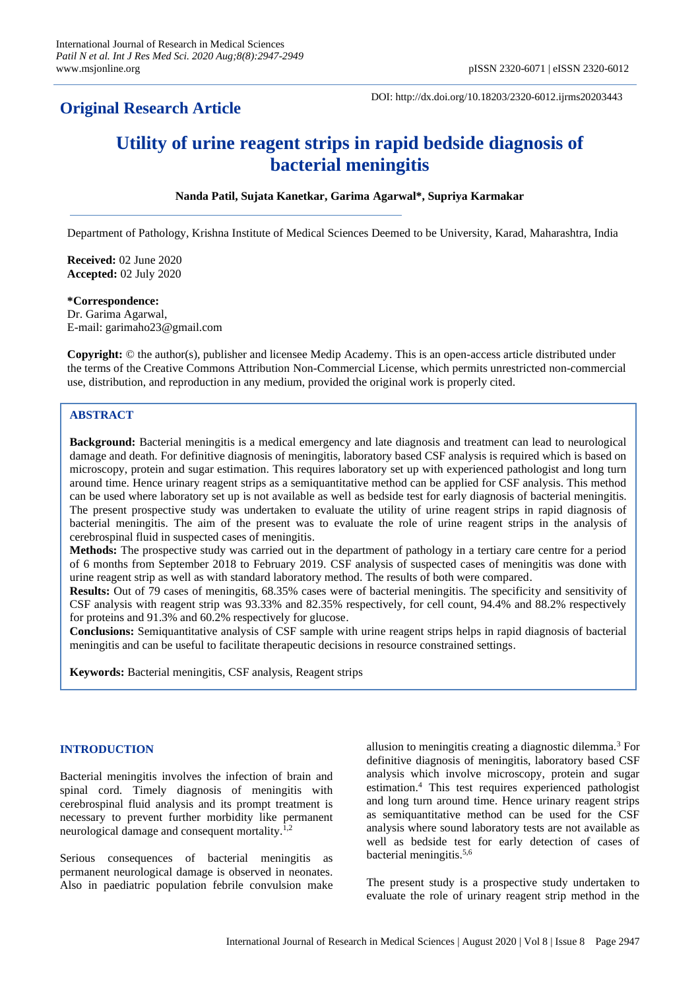# **Original Research Article**

DOI: http://dx.doi.org/10.18203/2320-6012.ijrms20203443

# **Utility of urine reagent strips in rapid bedside diagnosis of bacterial meningitis**

# **Nanda Patil, Sujata Kanetkar, Garima Agarwal\*, Supriya Karmakar**

Department of Pathology, Krishna Institute of Medical Sciences Deemed to be University, Karad, Maharashtra, India

**Received:** 02 June 2020 **Accepted:** 02 July 2020

# **\*Correspondence:**

Dr. Garima Agarwal, E-mail: garimaho23@gmail.com

**Copyright:** © the author(s), publisher and licensee Medip Academy. This is an open-access article distributed under the terms of the Creative Commons Attribution Non-Commercial License, which permits unrestricted non-commercial use, distribution, and reproduction in any medium, provided the original work is properly cited.

# **ABSTRACT**

**Background:** Bacterial meningitis is a medical emergency and late diagnosis and treatment can lead to neurological damage and death. For definitive diagnosis of meningitis, laboratory based CSF analysis is required which is based on microscopy, protein and sugar estimation. This requires laboratory set up with experienced pathologist and long turn around time. Hence urinary reagent strips as a semiquantitative method can be applied for CSF analysis. This method can be used where laboratory set up is not available as well as bedside test for early diagnosis of bacterial meningitis. The present prospective study was undertaken to evaluate the utility of urine reagent strips in rapid diagnosis of bacterial meningitis. The aim of the present was to evaluate the role of urine reagent strips in the analysis of cerebrospinal fluid in suspected cases of meningitis.

**Methods:** The prospective study was carried out in the department of pathology in a tertiary care centre for a period of 6 months from September 2018 to February 2019. CSF analysis of suspected cases of meningitis was done with urine reagent strip as well as with standard laboratory method. The results of both were compared.

**Results:** Out of 79 cases of meningitis, 68.35% cases were of bacterial meningitis. The specificity and sensitivity of CSF analysis with reagent strip was 93.33% and 82.35% respectively, for cell count, 94.4% and 88.2% respectively for proteins and 91.3% and 60.2% respectively for glucose.

**Conclusions:** Semiquantitative analysis of CSF sample with urine reagent strips helps in rapid diagnosis of bacterial meningitis and can be useful to facilitate therapeutic decisions in resource constrained settings.

**Keywords:** Bacterial meningitis, CSF analysis, Reagent strips

# **INTRODUCTION**

Bacterial meningitis involves the infection of brain and spinal cord. Timely diagnosis of meningitis with cerebrospinal fluid analysis and its prompt treatment is necessary to prevent further morbidity like permanent neurological damage and consequent mortality. $1,2$ 

Serious consequences of bacterial meningitis as permanent neurological damage is observed in neonates. Also in paediatric population febrile convulsion make allusion to meningitis creating a diagnostic dilemma.<sup>3</sup> For definitive diagnosis of meningitis, laboratory based CSF analysis which involve microscopy, protein and sugar estimation.<sup>4</sup> This test requires experienced pathologist and long turn around time. Hence urinary reagent strips as semiquantitative method can be used for the CSF analysis where sound laboratory tests are not available as well as bedside test for early detection of cases of bacterial meningitis. 5,6

The present study is a prospective study undertaken to evaluate the role of urinary reagent strip method in the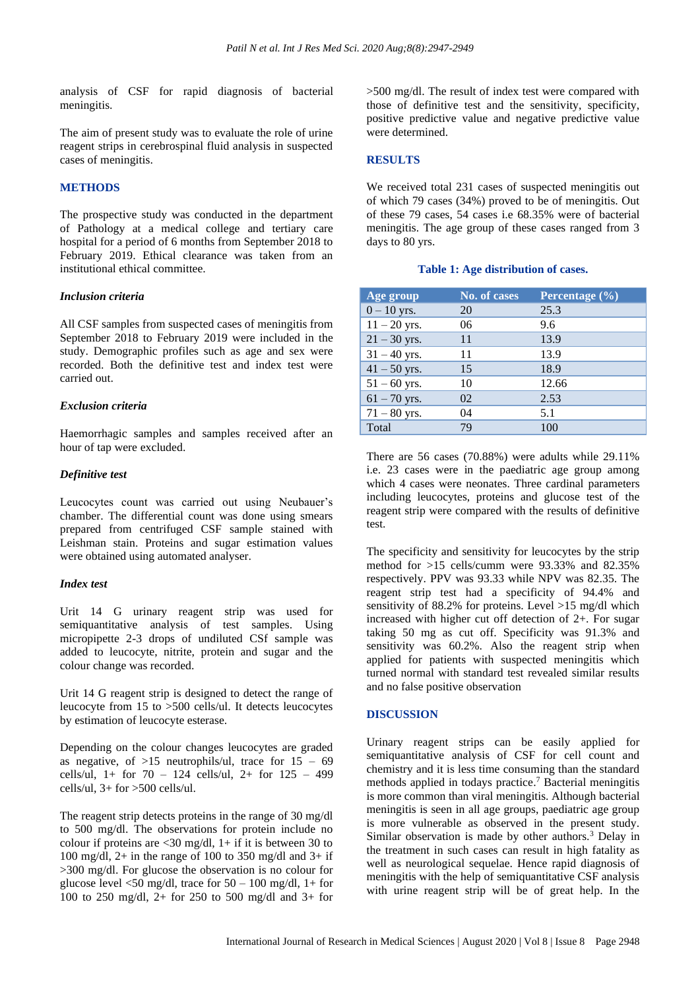analysis of CSF for rapid diagnosis of bacterial meningitis.

The aim of present study was to evaluate the role of urine reagent strips in cerebrospinal fluid analysis in suspected cases of meningitis.

## **METHODS**

The prospective study was conducted in the department of Pathology at a medical college and tertiary care hospital for a period of 6 months from September 2018 to February 2019. Ethical clearance was taken from an institutional ethical committee.

#### *Inclusion criteria*

All CSF samples from suspected cases of meningitis from September 2018 to February 2019 were included in the study. Demographic profiles such as age and sex were recorded. Both the definitive test and index test were carried out.

# *Exclusion criteria*

Haemorrhagic samples and samples received after an hour of tap were excluded.

#### *Definitive test*

Leucocytes count was carried out using Neubauer's chamber. The differential count was done using smears prepared from centrifuged CSF sample stained with Leishman stain. Proteins and sugar estimation values were obtained using automated analyser.

# *Index test*

Urit 14 G urinary reagent strip was used for semiquantitative analysis of test samples. Using micropipette 2-3 drops of undiluted CSf sample was added to leucocyte, nitrite, protein and sugar and the colour change was recorded.

Urit 14 G reagent strip is designed to detect the range of leucocyte from 15 to >500 cells/ul. It detects leucocytes by estimation of leucocyte esterase.

Depending on the colour changes leucocytes are graded as negative, of  $>15$  neutrophils/ul, trace for  $15 - 69$ cells/ul,  $1+$  for  $70 - 124$  cells/ul,  $2+$  for  $125 - 499$ cells/ul, 3+ for >500 cells/ul.

The reagent strip detects proteins in the range of 30 mg/dl to 500 mg/dl. The observations for protein include no colour if proteins are  $\langle 30 \text{ mg/dl}, 1+\text{if it is between } 30 \text{ to }$ 100 mg/dl, 2+ in the range of 100 to 350 mg/dl and  $3+$  if >300 mg/dl. For glucose the observation is no colour for glucose level  $\langle 50 \text{ mg/dl} \rangle$ , trace for  $50 - 100 \text{ mg/dl}$ , 1+ for 100 to 250 mg/dl, 2+ for 250 to 500 mg/dl and 3+ for >500 mg/dl. The result of index test were compared with those of definitive test and the sensitivity, specificity, positive predictive value and negative predictive value were determined.

# **RESULTS**

We received total 231 cases of suspected meningitis out of which 79 cases (34%) proved to be of meningitis. Out of these 79 cases, 54 cases i.e 68.35% were of bacterial meningitis. The age group of these cases ranged from 3 days to 80 yrs.

| Age group      | <b>No. of cases</b> | Percentage (%) |
|----------------|---------------------|----------------|
| $0 - 10$ yrs.  | 20                  | 25.3           |
| $11 - 20$ yrs. | 06                  | 9.6            |
| $21 - 30$ yrs. | 11                  | 13.9           |
| $31 - 40$ yrs. | 11                  | 13.9           |
| $41 - 50$ yrs. | 15                  | 18.9           |
| $51 - 60$ yrs. | 10                  | 12.66          |
| $61 - 70$ yrs. | 02                  | 2.53           |
| $71 - 80$ yrs. | 04                  | 5.1            |
| Total          | 79                  | 100            |

#### **Table 1: Age distribution of cases.**

There are 56 cases (70.88%) were adults while 29.11% i.e. 23 cases were in the paediatric age group among which 4 cases were neonates. Three cardinal parameters including leucocytes, proteins and glucose test of the reagent strip were compared with the results of definitive test.

The specificity and sensitivity for leucocytes by the strip method for >15 cells/cumm were 93.33% and 82.35% respectively. PPV was 93.33 while NPV was 82.35. The reagent strip test had a specificity of 94.4% and sensitivity of 88.2% for proteins. Level >15 mg/dl which increased with higher cut off detection of 2+. For sugar taking 50 mg as cut off. Specificity was 91.3% and sensitivity was 60.2%. Also the reagent strip when applied for patients with suspected meningitis which turned normal with standard test revealed similar results and no false positive observation

#### **DISCUSSION**

Urinary reagent strips can be easily applied for semiquantitative analysis of CSF for cell count and chemistry and it is less time consuming than the standard methods applied in todays practice. <sup>7</sup> Bacterial meningitis is more common than viral meningitis. Although bacterial meningitis is seen in all age groups, paediatric age group is more vulnerable as observed in the present study. Similar observation is made by other authors.<sup>3</sup> Delay in the treatment in such cases can result in high fatality as well as neurological sequelae. Hence rapid diagnosis of meningitis with the help of semiquantitative CSF analysis with urine reagent strip will be of great help. In the